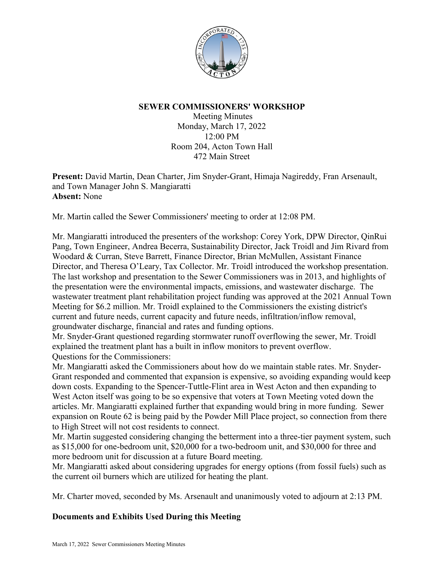

## **SEWER COMMISSIONERS' WORKSHOP**

Meeting Minutes Monday, March 17, 2022 12:00 PM Room 204, Acton Town Hall 472 Main Street

**Present:** David Martin, Dean Charter, Jim Snyder-Grant, Himaja Nagireddy, Fran Arsenault, and Town Manager John S. Mangiaratti **Absent:** None

Mr. Martin called the Sewer Commissioners' meeting to order at 12:08 PM.

Mr. Mangiaratti introduced the presenters of the workshop: Corey York, DPW Director, QinRui Pang, Town Engineer, Andrea Becerra, Sustainability Director, Jack Troidl and Jim Rivard from Woodard & Curran, Steve Barrett, Finance Director, Brian McMullen, Assistant Finance Director, and Theresa O'Leary, Tax Collector. Mr. Troidl introduced the workshop presentation. The last workshop and presentation to the Sewer Commissioners was in 2013, and highlights of the presentation were the environmental impacts, emissions, and wastewater discharge. The wastewater treatment plant rehabilitation project funding was approved at the 2021 Annual Town Meeting for \$6.2 million. Mr. Troidl explained to the Commissioners the existing district's current and future needs, current capacity and future needs, infiltration/inflow removal, groundwater discharge, financial and rates and funding options.

Mr. Snyder-Grant questioned regarding stormwater runoff overflowing the sewer, Mr. Troidl explained the treatment plant has a built in inflow monitors to prevent overflow. Questions for the Commissioners:

Mr. Mangiaratti asked the Commissioners about how do we maintain stable rates. Mr. Snyder-Grant responded and commented that expansion is expensive, so avoiding expanding would keep down costs. Expanding to the Spencer-Tuttle-Flint area in West Acton and then expanding to West Acton itself was going to be so expensive that voters at Town Meeting voted down the articles. Mr. Mangiaratti explained further that expanding would bring in more funding. Sewer expansion on Route 62 is being paid by the Powder Mill Place project, so connection from there to High Street will not cost residents to connect.

Mr. Martin suggested considering changing the betterment into a three-tier payment system, such as \$15,000 for one-bedroom unit, \$20,000 for a two-bedroom unit, and \$30,000 for three and more bedroom unit for discussion at a future Board meeting.

Mr. Mangiaratti asked about considering upgrades for energy options (from fossil fuels) such as the current oil burners which are utilized for heating the plant.

Mr. Charter moved, seconded by Ms. Arsenault and unanimously voted to adjourn at 2:13 PM.

## **Documents and Exhibits Used During this Meeting**